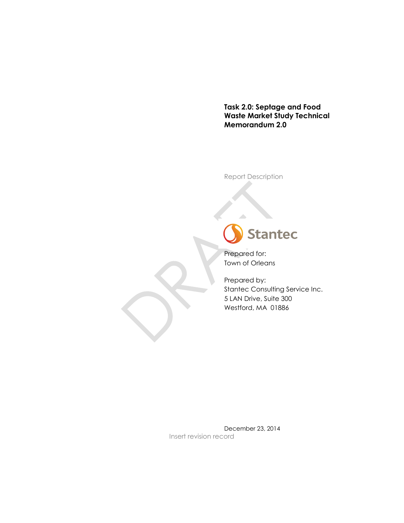**Task 2.0: Septage and Food Waste Market Study Technical Memorandum 2.0**

Report Description



Prepared for: Town of Orleans

 $\Delta$ 

Prepared by: Stantec Consulting Service Inc. 5 LAN Drive, Suite 300 Westford, MA 01886

December 23, 2014 Insert revision record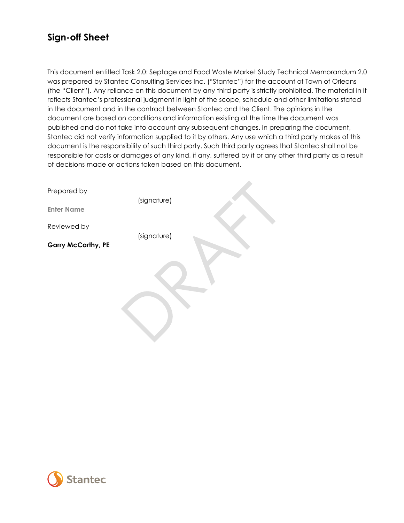### **Sign-off Sheet**

This document entitled Task 2.0: Septage and Food Waste Market Study Technical Memorandum 2.0 was prepared by Stantec Consulting Services Inc. ("Stantec") for the account of Town of Orleans (the "Client"). Any reliance on this document by any third party is strictly prohibited. The material in it reflects Stantec's professional judgment in light of the scope, schedule and other limitations stated in the document and in the contract between Stantec and the Client. The opinions in the document are based on conditions and information existing at the time the document was published and do not take into account any subsequent changes. In preparing the document, Stantec did not verify information supplied to it by others. Any use which a third party makes of this document is the responsibility of such third party. Such third party agrees that Stantec shall not be responsible for costs or damages of any kind, if any, suffered by it or any other third party as a result of decisions made or actions taken based on this document.

 $\Delta$ 

| Prepared by               |             |  |
|---------------------------|-------------|--|
|                           | (signature) |  |
| <b>Enter Name</b>         |             |  |
|                           |             |  |
| Reviewed by ____          |             |  |
|                           | (signature) |  |
| <b>Garry McCarthy, PE</b> |             |  |
|                           |             |  |
|                           |             |  |
|                           |             |  |
|                           |             |  |
|                           |             |  |
|                           |             |  |
|                           |             |  |
|                           |             |  |
|                           |             |  |
|                           |             |  |
|                           |             |  |

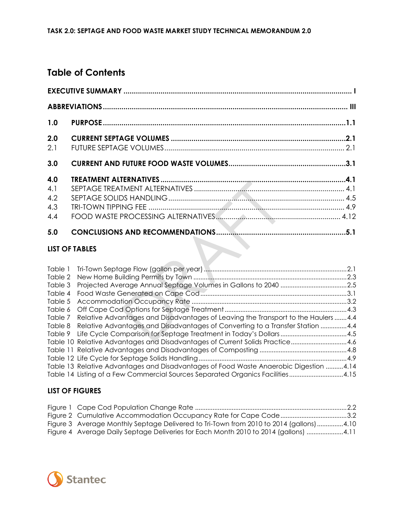### **Table of Contents**

| 1.0 |                       |  |
|-----|-----------------------|--|
| 2.0 |                       |  |
| 2.1 |                       |  |
| 3.0 |                       |  |
| 4.0 |                       |  |
| 4.1 |                       |  |
| 4.2 |                       |  |
| 4.3 |                       |  |
| 4.4 |                       |  |
| 5.0 |                       |  |
|     | <b>LIST OF TABLES</b> |  |

### **LIST OF TABLES**

| Table 1 |                                                                                       |  |
|---------|---------------------------------------------------------------------------------------|--|
| Table 2 |                                                                                       |  |
| Table 3 |                                                                                       |  |
| Table 4 |                                                                                       |  |
| Table 5 |                                                                                       |  |
| Table 6 |                                                                                       |  |
| Table 7 | Relative Advantages and Disadvantages of Leaving the Transport to the Haulers 4.4     |  |
|         | Table 8 Relative Advantages and Disadvantages of Converting to a Transfer Station 4.4 |  |
|         |                                                                                       |  |
|         | Table 10 Relative Advantages and Disadvantages of Current Solids Practice4.6          |  |
|         |                                                                                       |  |
|         |                                                                                       |  |
|         | Table 13 Relative Advantages and Disadvantages of Food Waste Anaerobic Digestion 4.14 |  |
|         | Table 14 Listing of a Few Commercial Sources Separated Organics Facilities4.15        |  |

### **LIST OF FIGURES**

| Figure 3 Average Monthly Septage Delivered to Tri-Town from 2010 to 2014 (gallons) 4.10 |  |
|-----------------------------------------------------------------------------------------|--|
| Figure 4 Average Daily Septage Deliveries for Each Month 2010 to 2014 (gallons) 4.11    |  |

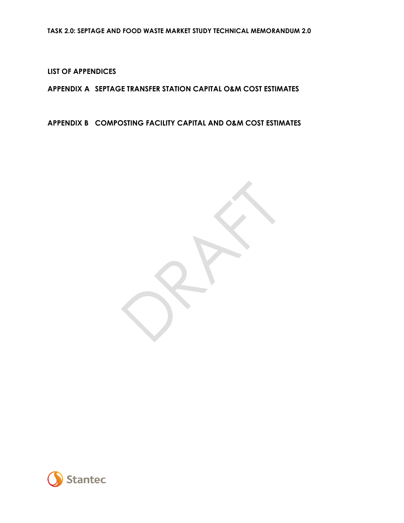**LIST OF APPENDICES**

**APPENDIX A SEPTAGE TRANSFER STATION CAPITAL O&M COST ESTIMATES**

**APPENDIX B COMPOSTING FACILITY CAPITAL AND O&M COST ESTIMATES**

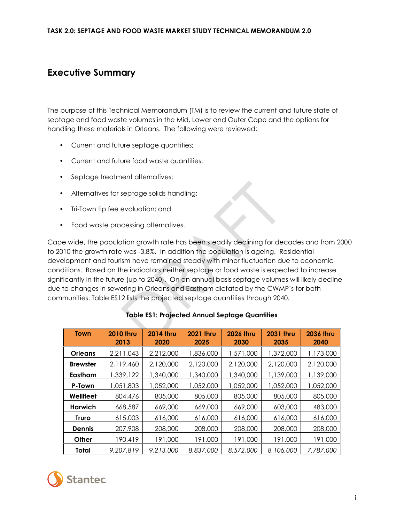### <span id="page-4-0"></span>**Executive Summary**

The purpose of this Technical Memorandum (TM) is to review the current and future state of septage and food waste volumes in the Mid, Lower and Outer Cape and the options for handling these materials in Orleans. The following were reviewed:

- Current and future septage quantities;
- Current and future food waste quantities;
- Septage treatment alternatives;
- Alternatives for septage solids handling;
- Tri-Town tip fee evaluation; and
- Food waste processing alternatives.

Cape wide, the population growth rate has been steadily declining for decades and from 2000 to 2010 the growth rate was -3.8%. In addition the population is ageing. Residential development and tourism have remained steady with minor fluctuation due to economic conditions. Based on the indicators neither septage or food waste is expected to increase significantly in the future (up to 2040). On an annual basis septage volumes will likely decline due to changes in sewering in Orleans and Eastham dictated by the CWMP's for both communities. Table ES12 lists the projected septage quantities through 2040.

| <b>Town</b>     | <b>2010 thru</b><br>2013 | <b>2014 thru</b><br>2020 | <b>2021 thru</b><br>2025 | <b>2026 thru</b><br>2030 | <b>2031 thru</b><br>2035 | <b>2036 thru</b><br>2040 |
|-----------------|--------------------------|--------------------------|--------------------------|--------------------------|--------------------------|--------------------------|
| <b>Orleans</b>  | 2,211,043                | 2,212,000                | 1,836,000                | 1,571,000                | 1,372,000                | 1,173,000                |
| <b>Brewster</b> | 2,119,460                | 2,120,000                | 2,120,000                | 2,120,000                | 2,120,000                | 2,120,000                |
| Eastham         | 1,339,122                | 1,340,000                | 1,340,000                | 1,340,000                | 1,139,000                | 1,139,000                |
| P-Town          | 1,051,803                | 1,052,000                | 1,052,000                | 1,052,000                | 1,052,000                | 1,052,000                |
| Wellfleet       | 804,476                  | 805,000                  | 805,000                  | 805,000                  | 805,000                  | 805,000                  |
| Harwich         | 668,587                  | 669,000                  | 669,000                  | 669,000                  | 603,000                  | 483,000                  |
| Truro           | 615,003                  | 616,000                  | 616,000                  | 616,000                  | 616,000                  | 616,000                  |
| Dennis          | 207,908                  | 208,000                  | 208,000                  | 208,000                  | 208,000                  | 208,000                  |
| Other           | 190,419                  | 191,000                  | 191,000                  | 191,000                  | 191,000                  | 191,000                  |
| Total           | 9,207,819                | 9,213,000                | 8,837,000                | 8,572,000                | 8,106,000                | 7,787,000                |

### **Table ES1: Projected Annual Septage Quantities**

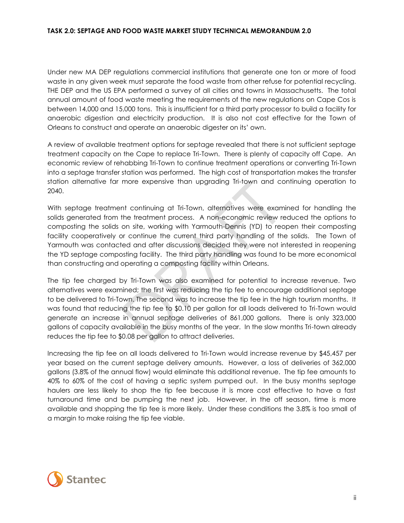Under new MA DEP regulations commercial institutions that generate one ton or more of food waste in any given week must separate the food waste from other refuse for potential recycling. THE DEP and the US EPA performed a survey of all cities and towns in Massachusetts. The total annual amount of food waste meeting the requirements of the new regulations on Cape Cos is between 14,000 and 15,000 tons. This is insufficient for a third party processor to build a facility for anaerobic digestion and electricity production. It is also not cost effective for the Town of Orleans to construct and operate an anaerobic digester on its' own.

A review of available treatment options for septage revealed that there is not sufficient septage treatment capacity on the Cape to replace Tri-Town. There is plenty of capacity off Cape. An economic review of rehabbing Tri-Town to continue treatment operations or converting Tri-Town into a septage transfer station was performed. The high cost of transportation makes the transfer station alternative far more expensive than upgrading Tri-town and continuing operation to 2040.

With septage treatment continuing at Tri-Town, alternatives were examined for handling the solids generated from the treatment process. A non-economic review reduced the options to composting the solids on site, working with Yarmouth-Dennis (YD) to reopen their composting facility cooperatively or continue the current third party handling of the solids. The Town of Yarmouth was contacted and after discussions decided they were not interested in reopening the YD septage composting facility. The third party handling was found to be more economical than constructing and operating a composting facility within Orleans.

The tip fee charged by Tri-Town was also examined for potential to increase revenue. Two alternatives were examined; the first was reducing the tip fee to encourage additional septage to be delivered to Tri-Town. The second was to increase the tip fee in the high tourism months. It was found that reducing the tip fee to \$0.10 per gallon for all loads delivered to Tri-Town would generate an increase in annual septage deliveries of 861,000 gallons. There is only 323,000 gallons of capacity available in the busy months of the year. In the slow months Tri-town already reduces the tip fee to \$0.08 per gallon to attract deliveries.

Increasing the tip fee on all loads delivered to Tri-Town would increase revenue by \$45,457 per year based on the current septage delivery amounts. However, a loss of deliveries of 362,000 gallons (3.8% of the annual flow) would eliminate this additional revenue. The tip fee amounts to 40% to 60% of the cost of having a septic system pumped out. In the busy months septage haulers are less likely to shop the tip fee because it is more cost effective to have a fast turnaround time and be pumping the next job. However, in the off season, time is more available and shopping the tip fee is more likely. Under these conditions the 3.8% is too small of a margin to make raising the tip fee viable.

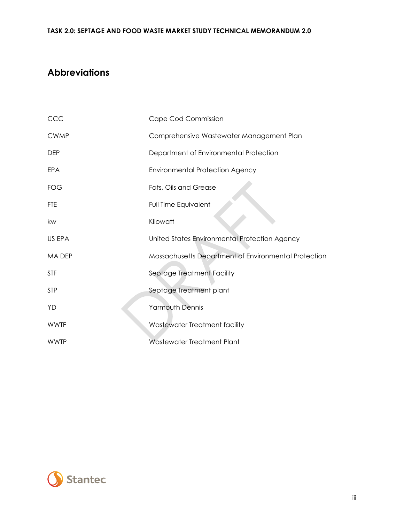## <span id="page-6-0"></span>**Abbreviations**

| CCC          | Cape Cod Commission                                  |
|--------------|------------------------------------------------------|
| <b>CWMP</b>  | Comprehensive Wastewater Management Plan             |
| <b>DEP</b>   | Department of Environmental Protection               |
| EPA          | <b>Environmental Protection Agency</b>               |
| FOG          | Fats, Oils and Grease                                |
| <b>FTE</b>   | Full Time Equivalent                                 |
| kw           | Kilowatt                                             |
| US EPA       | United States Environmental Protection Agency        |
| <b>MADEP</b> | Massachusetts Department of Environmental Protection |
| <b>STF</b>   | Septage Treatment Facility                           |
| <b>STP</b>   | Septage Treatment plant                              |
| YD           | <b>Yarmouth Dennis</b>                               |
| <b>WWTF</b>  | Wastewater Treatment facility                        |
| <b>WWTP</b>  | <b>Wastewater Treatment Plant</b>                    |

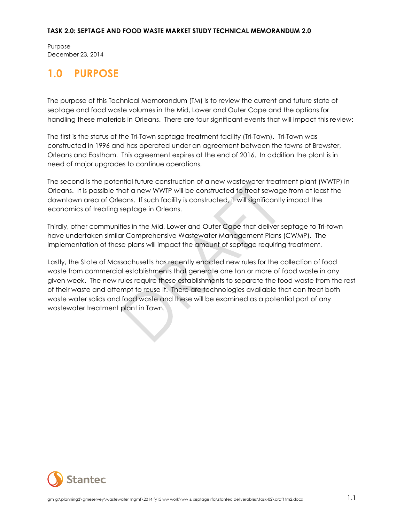Purpose December 23, 2014

## <span id="page-7-0"></span>**1.0 PURPOSE**

The purpose of this Technical Memorandum (TM) is to review the current and future state of septage and food waste volumes in the Mid, Lower and Outer Cape and the options for handling these materials in Orleans. There are four significant events that will impact this review:

The first is the status of the Tri-Town septage treatment facility (Tri-Town). Tri-Town was constructed in 1996 and has operated under an agreement between the towns of Brewster, Orleans and Eastham. This agreement expires at the end of 2016. In addition the plant is in need of major upgrades to continue operations.

The second is the potential future construction of a new wastewater treatment plant (WWTP) in Orleans. It is possible that a new WWTP will be constructed to treat sewage from at least the downtown area of Orleans. If such facility is constructed, it will significantly impact the economics of treating septage in Orleans.

Thirdly, other communities in the Mid, Lower and Outer Cape that deliver septage to Tri-town have undertaken similar Comprehensive Wastewater Management Plans (CWMP). The implementation of these plans will impact the amount of septage requiring treatment.

Lastly, the State of Massachusetts has recently enacted new rules for the collection of food waste from commercial establishments that generate one ton or more of food waste in any given week. The new rules require these establishments to separate the food waste from the rest of their waste and attempt to reuse it. There are technologies available that can treat both waste water solids and food waste and these will be examined as a potential part of any wastewater treatment plant in Town.

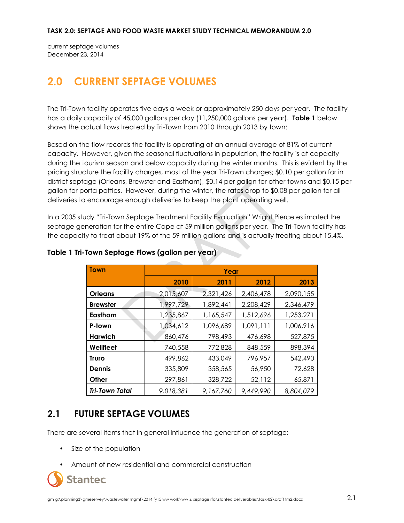current septage volumes December 23, 2014

# <span id="page-8-0"></span>**2.0 CURRENT SEPTAGE VOLUMES**

The Tri-Town facility operates five days a week or approximately 250 days per year. The facility has a daily capacity of 45,000 gallons per day (11,250,000 gallons per year). **Table 1** below shows the actual flows treated by Tri-Town from 2010 through 2013 by town:

Based on the flow records the facility is operating at an annual average of 81% of current capacity. However, given the seasonal fluctuations in population, the facility is at capacity during the tourism season and below capacity during the winter months. This is evident by the pricing structure the facility charges, most of the year Tri-Town charges; \$0.10 per gallon for in district septage (Orleans, Brewster and Eastham), \$0.14 per gallon for other towns and \$0.15 per gallon for porta potties. However, during the winter, the rates drop to \$0.08 per gallon for all deliveries to encourage enough deliveries to keep the plant operating well.

In a 2005 study "Tri-Town Septage Treatment Facility Evaluation" Wright Pierce estimated the septage generation for the entire Cape at 59 million gallons per year. The Tri-Town facility has the capacity to treat about 19% of the 59 million gallons and is actually treating about 15.4%.

| <b>Town</b>           | Year      |           |           |           |  |  |  |
|-----------------------|-----------|-----------|-----------|-----------|--|--|--|
|                       | 2010      | 2011      | 2012      | 2013      |  |  |  |
| <b>Orleans</b>        | 2,015,607 | 2,321,426 | 2,406,478 | 2,090,155 |  |  |  |
| <b>Brewster</b>       | 1,997,729 | 1,892,441 | 2,208,429 | 2,346,479 |  |  |  |
| Eastham               | 1,235,867 | 1,165,547 | 1,512,696 | 1,253,271 |  |  |  |
| P-town                | 1,034,612 | 1,096,689 | 1,091,111 | 1,006,916 |  |  |  |
| Harwich               | 860,476   | 798,493   | 476,698   | 527,875   |  |  |  |
| Wellfleet             | 740,558   | 772,828   | 848,559   | 898,394   |  |  |  |
| <b>Truro</b>          | 499,862   | 433,049   | 796,957   | 542,490   |  |  |  |
| <b>Dennis</b>         | 335,809   | 358,565   | 56,950    | 72,628    |  |  |  |
| Other                 | 297,861   | 328,722   | 52,112    | 65,871    |  |  |  |
| <b>Tri-Town Total</b> | 9,018,381 | 9,167,760 | 9,449,990 | 8,804,079 |  |  |  |

### **Table 1 Tri-Town Septage Flows (gallon per year)**

### <span id="page-8-1"></span>**2.1 FUTURE SEPTAGE VOLUMES**

There are several items that in general influence the generation of septage:

- Size of the population
- Amount of new residential and commercial construction

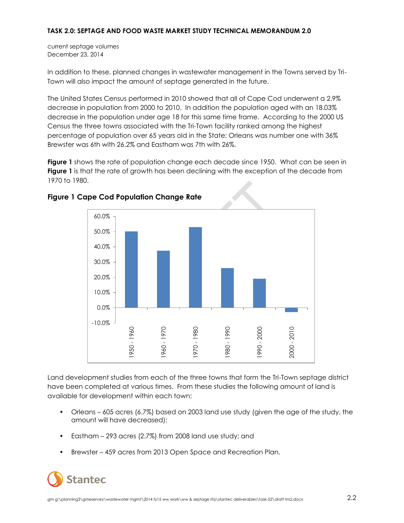current septage volumes December 23, 2014

In addition to these, planned changes in wastewater management in the Towns served by Tri-Town will also impact the amount of septage generated in the future.

The United States Census performed in 2010 showed that all of Cape Cod underwent a 2.9% decrease in population from 2000 to 2010. In addition the population aged with an 18.03% decrease in the population under age 18 for this same time frame. According to the 2000 US Census the three towns associated with the Tri-Town facility ranked among the highest percentage of population over 65 years old in the State; Orleans was number one with 36% Brewster was 6th with 26.2% and Eastham was 7th with 26%.

**Figure 1** shows the rate of population change each decade since 1950. What can be seen in **Figure 1** is that the rate of growth has been declining with the exception of the decade from 1970 to 1980.



### **Figure 1 Cape Cod Population Change Rate**

Land development studies from each of the three towns that form the Tri-Town septage district have been completed at various times. From these studies the following amount of land is available for development within each town:

- Orleans 605 acres (6.7%) based on 2003 land use study (given the age of the study, the amount will have decreased);
- Eastham 293 acres (2.7%) from 2008 land use study; and
- Brewster 459 acres from 2013 Open Space and Recreation Plan.

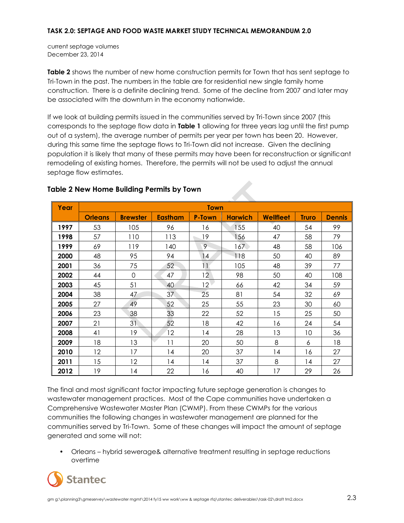current septage volumes December 23, 2014

**Table 2** shows the number of new home construction permits for Town that has sent septage to Tri-Town in the past. The numbers in the table are for residential new single family home construction. There is a definite declining trend. Some of the decline from 2007 and later may be associated with the downturn in the economy nationwide.

If we look at building permits issued in the communities served by Tri-Town since 2007 (this corresponds to the septage flow data in **Table 1** allowing for three years lag until the first pump out of a system), the average number of permits per year per town has been 20. However, during this same time the septage flows to Tri-Town did not increase. Given the declining population it is likely that many of these permits may have been for reconstruction or significant remodeling of existing homes. Therefore, the permits will not be used to adjust the annual septage flow estimates.

| Year | <b>Town</b>    |                 |                |               |                |                  |              |               |
|------|----------------|-----------------|----------------|---------------|----------------|------------------|--------------|---------------|
|      | <b>Orleans</b> | <b>Brewster</b> | <b>Eastham</b> | <b>P-Town</b> | <b>Harwich</b> | <b>Wellfleet</b> | <b>Truro</b> | <b>Dennis</b> |
| 1997 | 53             | 105             | 96             | 16            | 155            | 40               | 54           | 99            |
| 1998 | 57             | 110             | 113            | 19            | 156            | 47               | 58           | 79            |
| 1999 | 69             | 119             | 140            | 9             | 167.           | 48               | 58           | 106           |
| 2000 | 48             | 95              | 94             | 14            | 118            | 50               | 40           | 89            |
| 2001 | 36             | 75              | 52             | 11            | 105            | 48               | 39           | 77            |
| 2002 | 44             | $\overline{0}$  | 47             | 12            | 98             | 50               | 40           | 108           |
| 2003 | 45             | 51              | 40             | 12            | 66             | 42               | 34           | 59            |
| 2004 | 38             | 47              | 37             | 25            | 81             | 54               | 32           | 69            |
| 2005 | 27             | 49              | 52             | 25            | 55             | 23               | 30           | 60            |
| 2006 | 23             | 38              | 33             | 22            | 52             | 15               | 25           | 50            |
| 2007 | 21             | 31              | 52             | 18            | 42             | 16               | 24           | 54            |
| 2008 | 41             | 19              | 12             | 14            | 28             | 13               | 10           | 36            |
| 2009 | 18             | 13              | 11             | 20            | 50             | 8                | 6            | 18            |
| 2010 | 12             | 17              | 14             | 20            | 37             | 14               | 16           | 27            |
| 2011 | 15             | 12              | 14             | 14            | 37             | 8                | 14           | 27            |
| 2012 | 19             | 14              | 22             | 16            | 40             | 17               | 29           | 26            |

### **Table 2 New Home Building Permits by Town**

The final and most significant factor impacting future septage generation is changes to wastewater management practices. Most of the Cape communities have undertaken a Comprehensive Wastewater Master Plan (CWMP). From these CWMPs for the various communities the following changes in wastewater management are planned for the communities served by Tri-Town. Some of these changes will impact the amount of septage generated and some will not:

• Orleans – hybrid sewerage& alternative treatment resulting in septage reductions overtime

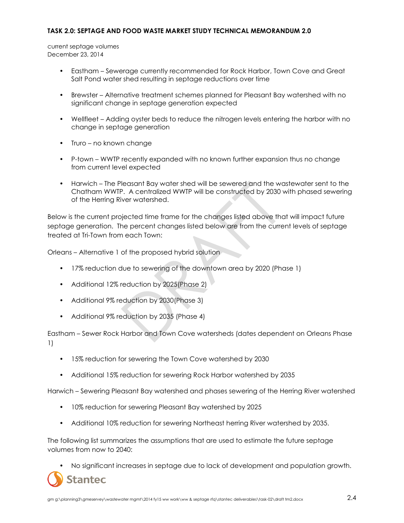current septage volumes December 23, 2014

- Eastham Sewerage currently recommended for Rock Harbor, Town Cove and Great Salt Pond water shed resulting in septage reductions over time
- Brewster Alternative treatment schemes planned for Pleasant Bay watershed with no significant change in septage generation expected
- Wellfleet Adding oyster beds to reduce the nitrogen levels entering the harbor with no change in septage generation
- Truro no known change
- P-town WWTP recently expanded with no known further expansion thus no change from current level expected
- Harwich The Pleasant Bay water shed will be sewered and the wastewater sent to the Chatham WWTP. A centralized WWTP will be constructed by 2030 with phased sewering of the Herring River watershed.

Below is the current projected time frame for the changes listed above that will impact future septage generation. The percent changes listed below are from the current levels of septage treated at Tri-Town from each Town:

Orleans – Alternative 1 of the proposed hybrid solution

- 17% reduction due to sewering of the downtown area by 2020 (Phase 1)
- Additional 12% reduction by 2025(Phase 2)
- Additional 9% reduction by 2030(Phase 3)
- Additional 9% reduction by 2035 (Phase 4)

Eastham – Sewer Rock Harbor and Town Cove watersheds (dates dependent on Orleans Phase 1)

- 15% reduction for sewering the Town Cove watershed by 2030
- Additional 15% reduction for sewering Rock Harbor watershed by 2035

Harwich – Sewering Pleasant Bay watershed and phases sewering of the Herring River watershed

- 10% reduction for sewering Pleasant Bay watershed by 2025
- Additional 10% reduction for sewering Northeast herring River watershed by 2035.

The following list summarizes the assumptions that are used to estimate the future septage volumes from now to 2040:

• No significant increases in septage due to lack of development and population growth.

**Stantec**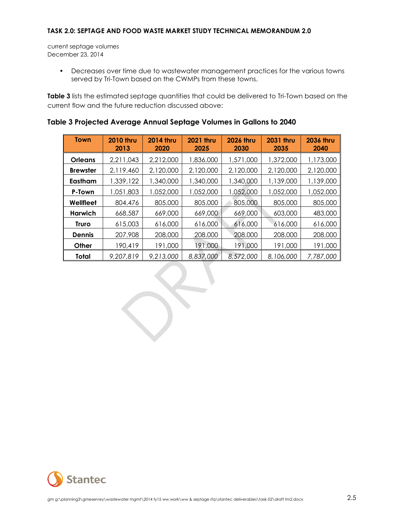current septage volumes December 23, 2014

> • Decreases over time due to wastewater management practices for the various towns served by Tri-Town based on the CWMPs from these towns.

Table 3 lists the estimated septage quantities that could be delivered to Tri-Town based on the current flow and the future reduction discussed above:

| Town            | <b>2010 thru</b><br>2013 | <b>2014 thru</b><br>2020 | <b>2021 thru</b><br>2025 | <b>2026 thru</b><br>2030 | <b>2031 thru</b><br>2035 | <b>2036 thru</b><br>2040 |
|-----------------|--------------------------|--------------------------|--------------------------|--------------------------|--------------------------|--------------------------|
| Orleans         | 2,211,043                | 2,212,000                | 1,836,000                | 1,571,000                | 1,372,000                | 1,173,000                |
| <b>Brewster</b> | 2,119,460                | 2,120,000                | 2,120,000                | 2,120,000                | 2,120,000                | 2,120,000                |
| Eastham         | 1,339,122                | 1,340,000                | 1,340,000                | 1,340,000                | 1,139,000                | 1,139,000                |
| P-Town          | 1,051,803                | 1,052,000                | 1,052,000                | 1,052,000                | 1,052,000                | 1,052,000                |
| Wellfleet       | 804,476                  | 805,000                  | 805,000                  | 805,000                  | 805,000                  | 805,000                  |
| Harwich         | 668,587                  | 669,000                  | 669,000                  | 669,000                  | 603,000                  | 483,000                  |
| Truro           | 615,003                  | 616,000                  | 616,000                  | 616,000                  | 616,000                  | 616,000                  |
| <b>Dennis</b>   | 207,908                  | 208,000                  | 208,000                  | 208,000                  | 208,000                  | 208,000                  |
| Other           | 190,419                  | 191,000                  | 191,000                  | 191,000                  | 191,000                  | 191,000                  |
| Total           | 9,207,819                | 9,213,000                | 8,837,000                | 8,572,000                | 8,106,000                | 7,787,000                |

### **Table 3 Projected Average Annual Septage Volumes in Gallons to 2040**

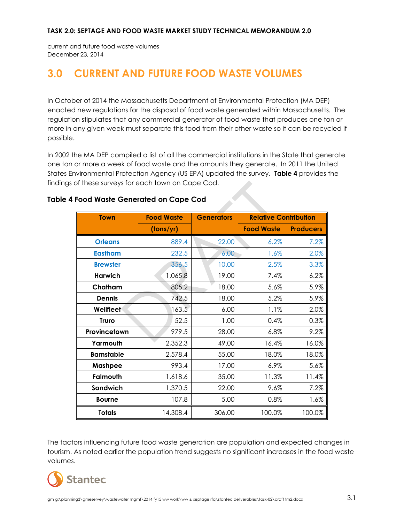current and future food waste volumes December 23, 2014

# <span id="page-13-0"></span>**3.0 CURRENT AND FUTURE FOOD WASTE VOLUMES**

In October of 2014 the Massachusetts Department of Environmental Protection (MA DEP) enacted new regulations for the disposal of food waste generated within Massachusetts. The regulation stipulates that any commercial generator of food waste that produces one ton or more in any given week must separate this food from their other waste so it can be recycled if possible.

In 2002 the MA DEP compiled a list of all the commercial institutions in the State that generate one ton or more a week of food waste and the amounts they generate. In 2011 the United States Environmental Protection Agency (US EPA) updated the survey. **Table 4** provides the findings of these surveys for each town on Cape Cod.

| <b>Town</b>       | <b>Food Waste</b> | <b>Generators</b> | <b>Relative Contribution</b> |                  |
|-------------------|-------------------|-------------------|------------------------------|------------------|
|                   | (tons/yr)         |                   | <b>Food Waste</b>            | <b>Producers</b> |
| <b>Orleans</b>    | 889.4             | 22.00             | 6.2%                         | 7.2%             |
| <b>Eastham</b>    | 232.5             | 6.00              | 1.6%                         | 2.0%             |
| <b>Brewster</b>   | 356.5             | 10.00             | 2.5%                         | 3.3%             |
| <b>Harwich</b>    | 1,065.8           | 19.00             | 7.4%                         | 6.2%             |
| Chatham           | 805.2             | 18.00             | 5.6%                         | 5.9%             |
| <b>Dennis</b>     | 742.5             | 18.00             | 5.2%                         | 5.9%             |
| <b>Wellfleet</b>  | 163.5             | 6.00              | 1.1%                         | 2.0%             |
| <b>Truro</b>      | 52.5              | 1.00              | 0.4%                         | 0.3%             |
| Provincetown      | 979.5             | 28.00             | 6.8%                         | 9.2%             |
| Yarmouth          | 2,352.3           | 49.00             | 16.4%                        | 16.0%            |
| <b>Barnstable</b> | 2,578.4           | 55.00             | 18.0%                        | 18.0%            |
| Mashpee           | 993.4             | 17.00             | $6.9\%$                      | 5.6%             |
| Falmouth          | 1,618.6           | 35.00             | 11.3%                        | 11.4%            |
| Sandwich          | 1,370.5           | 22.00             | 9.6%                         | 7.2%             |
| <b>Bourne</b>     | 107.8             | 5.00              | 0.8%                         | 1.6%             |
| <b>Totals</b>     | 14,308.4          | 306.00            | 100.0%                       | 100.0%           |

### **Table 4 Food Waste Generated on Cape Cod**

The factors influencing future food waste generation are population and expected changes in tourism. As noted earlier the population trend suggests no significant increases in the food waste volumes.

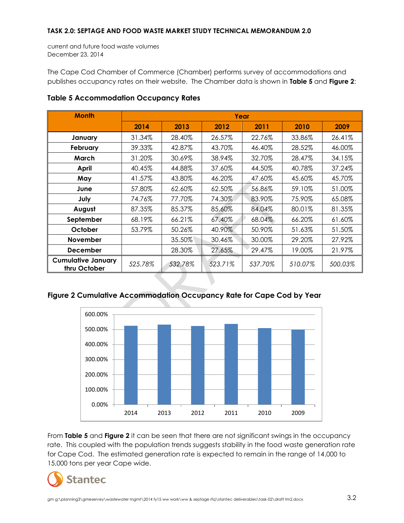current and future food waste volumes December 23, 2014

The Cape Cod Chamber of Commerce (Chamber) performs survey of accommodations and publishes occupancy rates on their website. The Chamber data is shown in **Table 5** and **Figure 2**:

| <b>Month</b>                              | Year    |         |         |         |         |         |
|-------------------------------------------|---------|---------|---------|---------|---------|---------|
|                                           | 2014    | 2013    | 2012    | 2011    | 2010    | 2009    |
| January                                   | 31.34%  | 28.40%  | 26.57%  | 22.76%  | 33.86%  | 26.41%  |
| February                                  | 39.33%  | 42.87%  | 43.70%  | 46.40%  | 28.52%  | 46.00%  |
| March                                     | 31.20%  | 30.69%  | 38.94%  | 32.70%  | 28.47%  | 34.15%  |
| April                                     | 40.45%  | 44.88%  | 37.60%  | 44.50%  | 40.78%  | 37.24%  |
| May                                       | 41.57%  | 43.80%  | 46.20%  | 47.60%  | 45.60%  | 45.70%  |
| June                                      | 57.80%  | 62.60%  | 62.50%  | 56.86%  | 59.10%  | 51.00%  |
| July                                      | 74.76%  | 77.70%  | 74.30%  | 83.90%  | 75.90%  | 65.08%  |
| August                                    | 87.35%  | 85.37%  | 85.60%  | 84.04%  | 80.01%  | 81.35%  |
| September                                 | 68.19%  | 66.21%  | 67.40%  | 68.04%  | 66.20%  | 61.60%  |
| October                                   | 53.79%  | 50.26%  | 40.90%  | 50.90%  | 51.63%  | 51.50%  |
| <b>November</b>                           |         | 35.50%  | 30.46%  | 30.00%  | 29.20%  | 27.92%  |
| <b>December</b>                           |         | 28.30%  | 27.65%  | 29.47%  | 19.00%  | 21.97%  |
| <b>Cumulative January</b><br>thru October | 525.78% | 532.78% | 523.71% | 537.70% | 510.07% | 500.03% |

### **Table 5 Accommodation Occupancy Rates**





From **Table 5** and **Figure 2** it can be seen that there are not significant swings in the occupancy rate. This coupled with the population trends suggests stability in the food waste generation rate for Cape Cod. The estimated generation rate is expected to remain in the range of 14,000 to 15,000 tons per year Cape wide.

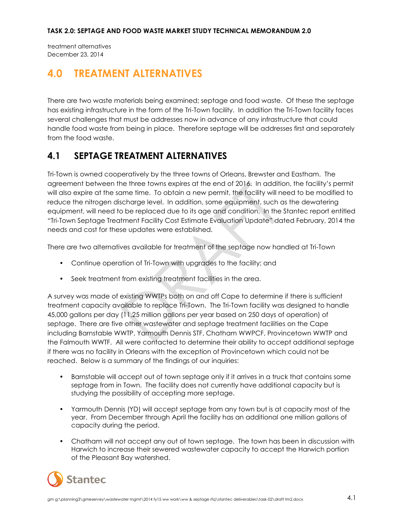treatment alternatives December 23, 2014

## <span id="page-15-0"></span>**4.0 TREATMENT ALTERNATIVES**

There are two waste materials being examined; septage and food waste. Of these the septage has existing infrastructure in the form of the Tri-Town facility. In addition the Tri-Town facility faces several challenges that must be addresses now in advance of any infrastructure that could handle food waste from being in place. Therefore septage will be addresses first and separately from the food waste.

### <span id="page-15-1"></span>**4.1 SEPTAGE TREATMENT ALTERNATIVES**

Tri-Town is owned cooperatively by the three towns of Orleans, Brewster and Eastham. The agreement between the three towns expires at the end of 2016. In addition, the facility's permit will also expire at the same time. To obtain a new permit, the facility will need to be modified to reduce the nitrogen discharge level. In addition, some equipment, such as the dewatering equipment, will need to be replaced due to its age and condition. In the Stantec report entitled "Tri-Town Septage Treatment Facility Cost Estimate Evaluation Update" dated February, 2014 the needs and cost for these updates were established.

There are two alternatives available for treatment of the septage now handled at Tri-Town

- Continue operation of Tri-Town with upgrades to the facility; and
- Seek treatment from existing treatment facilities in the area.

A survey was made of existing WWTPs both on and off Cape to determine if there is sufficient treatment capacity available to replace Tri-Town. The Tri-Town facility was designed to handle 45,000 gallons per day (11.25 million gallons per year based on 250 days of operation) of septage. There are five other wastewater and septage treatment facilities on the Cape including Barnstable WWTP, Yarmouth Dennis STF, Chatham WWPCF, Provincetown WWTP and the Falmouth WWTF. All were contacted to determine their ability to accept additional septage if there was no facility in Orleans with the exception of Provincetown which could not be reached. Below is a summary of the findings of our inquiries:

- Barnstable will accept out of town septage only if it arrives in a truck that contains some septage from in Town. The facility does not currently have additional capacity but is studying the possibility of accepting more septage.
- Yarmouth Dennis (YD) will accept septage from any town but is at capacity most of the year. From December through April the facility has an additional one million gallons of capacity during the period.
- Chatham will not accept any out of town septage. The town has been in discussion with Harwich to increase their sewered wastewater capacity to accept the Harwich portion of the Pleasant Bay watershed.

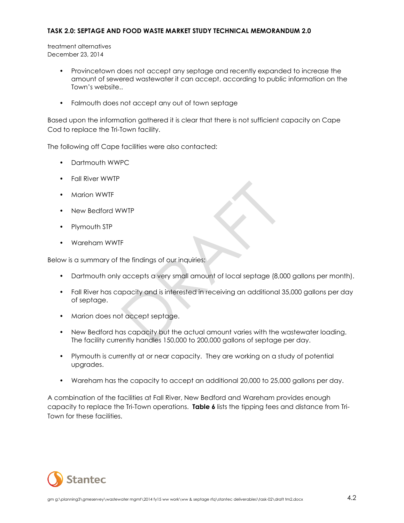treatment alternatives December 23, 2014

- Provincetown does not accept any septage and recently expanded to increase the amount of sewered wastewater it can accept, according to public information on the Town's website..
- Falmouth does not accept any out of town septage

Based upon the information gathered it is clear that there is not sufficient capacity on Cape Cod to replace the Tri-Town facility.

The following off Cape facilities were also contacted:

- Dartmouth WWPC
- Fall River WWTP
- Marion WWTF
- New Bedford WWTP
- Plymouth STP
- Wareham WWTF

Below is a summary of the findings of our inquiries:

- Dartmouth only accepts a very small amount of local septage (8,000 gallons per month).
- Fall River has capacity and is interested in receiving an additional 35,000 gallons per day of septage.
- Marion does not accept septage.
- New Bedford has capacity but the actual amount varies with the wastewater loading. The facility currently handles 150,000 to 200,000 gallons of septage per day.
- Plymouth is currently at or near capacity. They are working on a study of potential upgrades.
- Wareham has the capacity to accept an additional 20,000 to 25,000 gallons per day.

A combination of the facilities at Fall River, New Bedford and Wareham provides enough capacity to replace the Tri-Town operations. **Table 6** lists the tipping fees and distance from Tri-Town for these facilities.

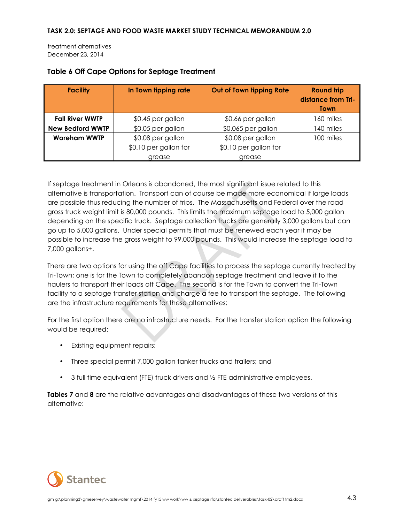treatment alternatives December 23, 2014

| <b>Facility</b>         | In Town tipping rate  | Out of Town tipping Rate | <b>Round trip</b><br>distance from Tri-<br><b>Town</b> |
|-------------------------|-----------------------|--------------------------|--------------------------------------------------------|
| <b>Fall River WWTP</b>  | \$0.45 per gallon     | \$0.66 per gallon        | 160 miles                                              |
| <b>New Bedford WWTP</b> | \$0.05 per gallon     | \$0.065 per gallon       | 140 miles                                              |
| <b>Wareham WWTP</b>     | \$0.08 per gallon     | \$0.08 per gallon        | 100 miles                                              |
|                         | \$0.10 per gallon for | \$0.10 per gallon for    |                                                        |
|                         | grease                | grease                   |                                                        |

### **Table 6 Off Cape Options for Septage Treatment**

If septage treatment in Orleans is abandoned, the most significant issue related to this alternative is transportation. Transport can of course be made more economical if large loads are possible thus reducing the number of trips. The Massachusetts and Federal over the road gross truck weight limit is 80,000 pounds. This limits the maximum septage load to 5,000 gallon depending on the specific truck. Septage collection trucks are generally 3,000 gallons but can go up to 5,000 gallons. Under special permits that must be renewed each year it may be possible to increase the gross weight to 99,000 pounds. This would increase the septage load to 7,000 gallons+.

There are two options for using the off Cape facilities to process the septage currently treated by Tri-Town; one is for the Town to completely abandon septage treatment and leave it to the haulers to transport their loads off Cape. The second is for the Town to convert the Tri-Town facility to a septage transfer station and charge a fee to transport the septage. The following are the infrastructure requirements for these alternatives:

For the first option there are no infrastructure needs. For the transfer station option the following would be required:

- Existing equipment repairs;
- Three special permit 7,000 gallon tanker trucks and trailers; and
- 3 full time equivalent (FTE) truck drivers and 1/2 FTE administrative employees.

**Tables 7** and **8** are the relative advantages and disadvantages of these two versions of this alternative:

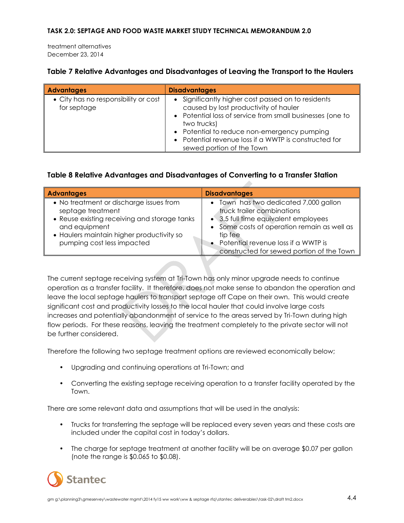treatment alternatives December 23, 2014

### **Table 7 Relative Advantages and Disadvantages of Leaving the Transport to the Haulers**

| <b>Advantages</b>                                   | <b>Disadvantages</b>                                                                                                                                                                                                                                                                                         |
|-----------------------------------------------------|--------------------------------------------------------------------------------------------------------------------------------------------------------------------------------------------------------------------------------------------------------------------------------------------------------------|
| • City has no responsibility or cost<br>for septage | • Significantly higher cost passed on to residents<br>caused by lost productivity of hauler<br>• Potential loss of service from small businesses (one to<br>two trucks)<br>• Potential to reduce non-emergency pumping<br>• Potential revenue loss if a WWTP is constructed for<br>sewed portion of the Town |

### **Table 8 Relative Advantages and Disadvantages of Converting to a Transfer Station**

| <b>Advantages</b>                                                                                                                                                                                        | <b>Disadvantages</b>                                                                                                                                                                                                                                        |
|----------------------------------------------------------------------------------------------------------------------------------------------------------------------------------------------------------|-------------------------------------------------------------------------------------------------------------------------------------------------------------------------------------------------------------------------------------------------------------|
| • No treatment or discharge issues from<br>septage treatment<br>• Reuse existing receiving and storage tanks<br>and equipment<br>• Haulers maintain higher productivity so<br>pumping cost less impacted | • Town has two dedicated 7,000 gallon<br>truck trailer combinations<br>• 3.5 full time equivalent employees<br>• Some costs of operation remain as well as<br>tip fee<br>• Potential revenue loss if a WWTP is<br>constructed for sewed portion of the Town |

The current septage receiving system at Tri-Town has only minor upgrade needs to continue operation as a transfer facility. It therefore, does not make sense to abandon the operation and leave the local septage haulers to transport septage off Cape on their own. This would create significant cost and productivity losses to the local hauler that could involve large costs increases and potentially abandonment of service to the areas served by Tri-Town during high flow periods. For these reasons, leaving the treatment completely to the private sector will not be further considered.

Therefore the following two septage treatment options are reviewed economically below;

- Upgrading and continuing operations at Tri-Town; and
- Converting the existing septage receiving operation to a transfer facility operated by the Town.

There are some relevant data and assumptions that will be used in the analysis:

- Trucks for transferring the septage will be replaced every seven years and these costs are included under the capital cost in today's dollars.
- The charge for septage treatment at another facility will be on average \$0.07 per gallon (note the range is \$0.065 to \$0.08).

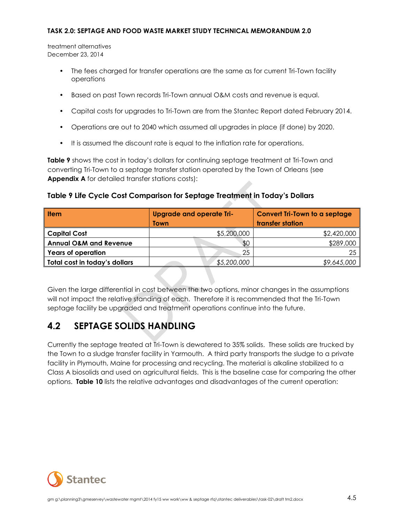treatment alternatives December 23, 2014

- The fees charged for transfer operations are the same as for current Tri-Town facility operations
- Based on past Town records Tri-Town annual O&M costs and revenue is equal.
- Capital costs for upgrades to Tri-Town are from the Stantec Report dated February 2014.
- Operations are out to 2040 which assumed all upgrades in place (if done) by 2020.
- It is assumed the discount rate is equal to the inflation rate for operations.

**Table 9** shows the cost in today's dollars for continuing septage treatment at Tri-Town and converting Tri-Town to a septage transfer station operated by the Town of Orleans (see **Appendix A** for detailed transfer stations costs):

### **Table 9 Life Cycle Cost Comparison for Septage Treatment in Today's Dollars**

| <b>I</b> tem                      | <b>Upgrade and operate Tri-</b> | <b>Convert Tri-Town to a septage</b> |  |
|-----------------------------------|---------------------------------|--------------------------------------|--|
|                                   | Town                            | transfer station                     |  |
| <b>Capital Cost</b>               | \$5,200,000                     | \$2,420,000                          |  |
| <b>Annual O&amp;M and Revenue</b> | \$0                             | \$289,000                            |  |
| <b>Years of operation</b>         | 25                              | 25                                   |  |
| Total cost in today's dollars     | \$5,200,000                     | \$9,645,000                          |  |

Given the large differential in cost between the two options, minor changes in the assumptions will not impact the relative standing of each. Therefore it is recommended that the Tri-Town septage facility be upgraded and treatment operations continue into the future.

### <span id="page-19-0"></span>**4.2 SEPTAGE SOLIDS HANDLING**

Currently the septage treated at Tri-Town is dewatered to 35% solids. These solids are trucked by the Town to a sludge transfer facility in Yarmouth. A third party transports the sludge to a private facility in Plymouth, Maine for processing and recycling. The material is alkaline stabilized to a Class A biosolids and used on agricultural fields. This is the baseline case for comparing the other options. **Table 10** lists the relative advantages and disadvantages of the current operation:

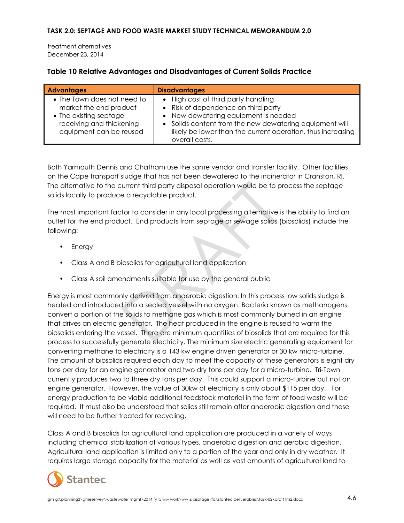treatment alternatives December 23, 2014

### **Table 10 Relative Advantages and Disadvantages of Current Solids Practice**

| <b>Advantages</b>                                                                                                                      | <b>Disadvantages</b>                                                                                                                                                                                                                                           |
|----------------------------------------------------------------------------------------------------------------------------------------|----------------------------------------------------------------------------------------------------------------------------------------------------------------------------------------------------------------------------------------------------------------|
| • The Town does not need to<br>market the end product<br>• The existing septage<br>receiving and thickening<br>equipment can be reused | • High cost of third party handling<br>• Risk of dependence on third party<br>• New dewatering equipment Is needed<br>• Solids content from the new dewatering equipment will<br>likely be lower than the current operation, thus increasing<br>overall costs. |

Both Yarmouth Dennis and Chatham use the same vendor and transfer facility. Other facilities on the Cape transport sludge that has not been dewatered to the incinerator in Cranston, RI. The alternative to the current third party disposal operation would be to process the septage solids locally to produce a recyclable product.

The most important factor to consider in any local processing alternative is the ability to find an outlet for the end product. End products from septage or sewage solids (biosolids) include the following:

- Energy
- Class A and B biosolids for agricultural land application
- Class A soil amendments suitable for use by the general public

Energy is most commonly derived from anaerobic digestion. In this process low solids sludge is heated and introduced into a sealed vessel with no oxygen. Bacteria known as methanogens convert a portion of the solids to methane gas which is most commonly burned in an engine that drives an electric generator. The heat produced in the engine is reused to warm the biosolids entering the vessel. There are minimum quantities of biosolids that are required for this process to successfully generate electricity. The minimum size electric generating equipment for converting methane to electricity is a 143 kw engine driven generator or 30 kw micro-turbine. The amount of biosolids required each day to meet the capacity of these generators is eight dry tons per day for an engine generator and two dry tons per day for a micro-turbine. Tri-Town currently produces two to three dry tons per day. This could support a micro-turbine but not an engine generator. However, the value of 30kw of electricity is only about \$115 per day. For energy production to be viable additional feedstock material in the form of food waste will be required. It must also be understood that solids still remain after anaerobic digestion and these will need to be further treated for recycling.

Class A and B biosolids for agricultural land application are produced in a variety of ways including chemical stabilization of various types, anaerobic digestion and aerobic digestion. Agricultural land application is limited only to a portion of the year and only in dry weather. It requires large storage capacity for the material as well as vast amounts of agricultural land to

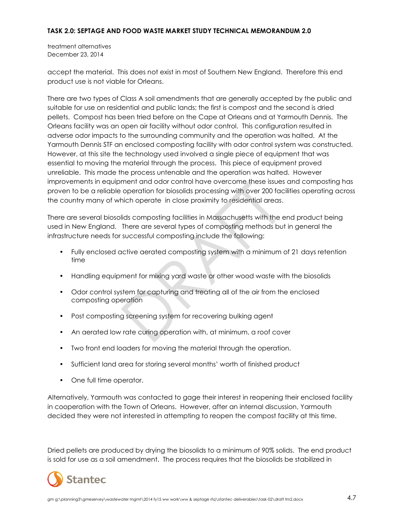treatment alternatives December 23, 2014

accept the material. This does not exist in most of Southern New England. Therefore this end product use is not viable for Orleans.

There are two types of Class A soil amendments that are generally accepted by the public and suitable for use on residential and public lands; the first is compost and the second is dried pellets. Compost has been tried before on the Cape at Orleans and at Yarmouth Dennis. The Orleans facility was an open air facility without odor control. This configuration resulted in adverse odor impacts to the surrounding community and the operation was halted. At the Yarmouth Dennis STF an enclosed composting facility with odor control system was constructed. However, at this site the technology used involved a single piece of equipment that was essential to moving the material through the process. This piece of equipment proved unreliable. This made the process untenable and the operation was halted. However improvements in equipment and odor control have overcome these issues and composting has proven to be a reliable operation for biosolids processing with over 200 facilities operating across the country many of which operate in close proximity to residential areas.

There are several biosolids composting facilities in Massachusetts with the end product being used in New England. There are several types of composting methods but in general the infrastructure needs for successful composting include the following:

- Fully enclosed active aerated composting system with a minimum of 21 days retention time
- Handling equipment for mixing yard waste or other wood waste with the biosolids
- Odor control system for capturing and treating all of the air from the enclosed composting operation
- Post composting screening system for recovering bulking agent
- An aerated low rate curing operation with, at minimum, a roof cover
- Two front end loaders for moving the material through the operation.
- Sufficient land area for storing several months' worth of finished product
- One full time operator.

Alternatively, Yarmouth was contacted to gage their interest in reopening their enclosed facility in cooperation with the Town of Orleans. However, after an internal discussion, Yarmouth decided they were not interested in attempting to reopen the compost facility at this time.

Dried pellets are produced by drying the biosolids to a minimum of 90% solids. The end product is sold for use as a soil amendment. The process requires that the biosolids be stabilized in

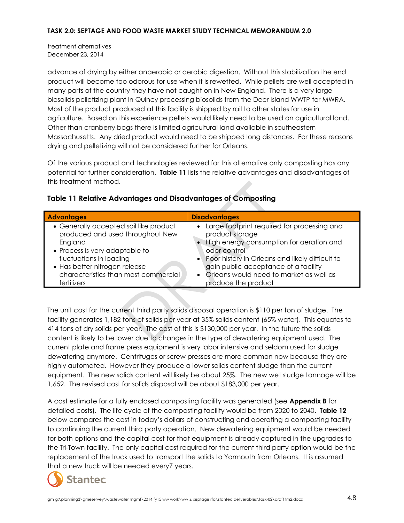treatment alternatives December 23, 2014

advance of drying by either anaerobic or aerobic digestion. Without this stabilization the end product will become too odorous for use when it is rewetted. While pellets are well accepted in many parts of the country they have not caught on in New England. There is a very large biosolids pelletizing plant in Quincy processing biosolids from the Deer Island WWTP for MWRA. Most of the product produced at this facility is shipped by rail to other states for use in agriculture. Based on this experience pellets would likely need to be used on agricultural land. Other than cranberry bogs there is limited agricultural land available in southeastern Massachusetts. Any dried product would need to be shipped long distances. For these reasons drying and pelletizing will not be considered further for Orleans.

Of the various product and technologies reviewed for this alternative only composting has any potential for further consideration. **Table 11** lists the relative advantages and disadvantages of this treatment method.

| <b>Table 11 Relative Advantages and Disadvantages of Composting</b> |  |  |  |
|---------------------------------------------------------------------|--|--|--|
|                                                                     |  |  |  |

| <b>Advantages</b>                                                                                                                                                                                                                          | <b>Disadvantages</b>                                                                                                                                                                                                                                                                                   |
|--------------------------------------------------------------------------------------------------------------------------------------------------------------------------------------------------------------------------------------------|--------------------------------------------------------------------------------------------------------------------------------------------------------------------------------------------------------------------------------------------------------------------------------------------------------|
| • Generally accepted soil like product<br>produced and used throughout New<br>England<br>• Process is very adaptable to<br>fluctuations in loading<br>• Has better nitrogen release<br>characteristics than most commercial<br>fertilizers | Large footprint required for processing and<br>product storage<br>High energy consumption for aeration and<br>odor control<br>• Poor history in Orleans and likely difficult to<br>gain public acceptance of a facility<br>Orleans would need to market as well as<br>$\bullet$<br>produce the product |

The unit cost for the current third party solids disposal operation is \$110 per ton of sludge. The facility generates 1,182 tons of solids per year at 35% solids content (65% water). This equates to 414 tons of dry solids per year. The cost of this is \$130,000 per year. In the future the solids content is likely to be lower due to changes in the type of dewatering equipment used. The current plate and frame press equipment is very labor intensive and seldom used for sludge dewatering anymore. Centrifuges or screw presses are more common now because they are highly automated. However they produce a lower solids content sludge than the current equipment. The new solids content will likely be about 25%. The new wet sludge tonnage will be 1,652. The revised cost for solids disposal will be about \$183,000 per year.

A cost estimate for a fully enclosed composting facility was generated (see **Appendix B** for detailed costs). The life cycle of the composting facility would be from 2020 to 2040. **Table 12** below compares the cost in today's dollars of constructing and operating a composting facility to continuing the current third party operation. New dewatering equipment would be needed for both options and the capital cost for that equipment is already captured in the upgrades to the Tri-Town facility. The only capital cost required for the current third party option would be the replacement of the truck used to transport the solids to Yarmouth from Orleans. It is assumed that a new truck will be needed every7 years.

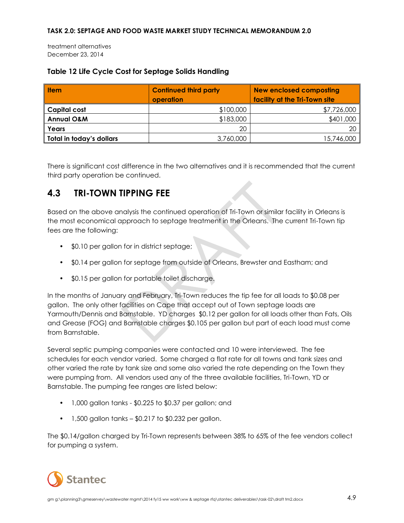treatment alternatives December 23, 2014

### **Table 12 Life Cycle Cost for Septage Solids Handling**

| <b>Item</b>              | <b>Continued third party</b><br>operation | <b>New enclosed composting</b><br>facility at the Tri-Town site |
|--------------------------|-------------------------------------------|-----------------------------------------------------------------|
| <b>Capital cost</b>      | \$100,000                                 | \$7,726,000                                                     |
| <b>Annual O&amp;M</b>    | \$183,000                                 | \$401,000                                                       |
| Years                    | 20                                        | 20 <sub>1</sub>                                                 |
| Total in today's dollars | 3,760,000                                 | 15,746,000                                                      |

There is significant cost difference in the two alternatives and it is recommended that the current third party operation be continued.

### <span id="page-23-0"></span>**4.3 TRI-TOWN TIPPING FEE**

Based on the above analysis the continued operation of Tri-Town or similar facility in Orleans is the most economical approach to septage treatment in the Orleans. The current Tri-Town tip fees are the following:

- \$0.10 per gallon for in district septage;
- \$0.14 per gallon for septage from outside of Orleans, Brewster and Eastham; and
- \$0.15 per gallon for portable toilet discharge.

In the months of January and February, Tri-Town reduces the tip fee for all loads to \$0.08 per gallon. The only other facilities on Cape that accept out of Town septage loads are Yarmouth/Dennis and Barnstable. YD charges \$0.12 per gallon for all loads other than Fats, Oils and Grease (FOG) and Barnstable charges \$0.105 per gallon but part of each load must come from Barnstable.

Several septic pumping companies were contacted and 10 were interviewed. The fee schedules for each vendor varied. Some charged a flat rate for all towns and tank sizes and other varied the rate by tank size and some also varied the rate depending on the Town they were pumping from. All vendors used any of the three available facilities, Tri-Town, YD or Barnstable. The pumping fee ranges are listed below:

- 1,000 gallon tanks \$0.225 to \$0.37 per gallon; and
- $\cdot$  1,500 gallon tanks \$0.217 to \$0.232 per gallon.

The \$0.14/gallon charged by Tri-Town represents between 38% to 65% of the fee vendors collect for pumping a system.

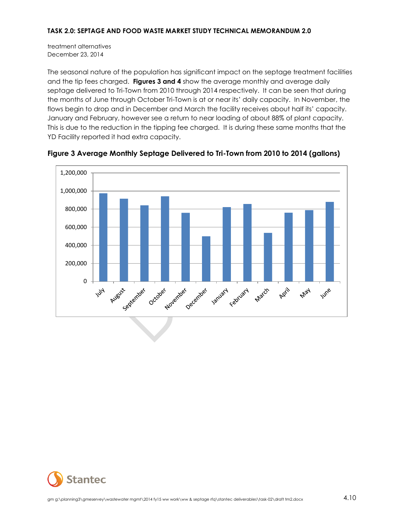treatment alternatives December 23, 2014

The seasonal nature of the population has significant impact on the septage treatment facilities and the tip fees charged. **Figures 3 and 4** show the average monthly and average daily septage delivered to Tri-Town from 2010 through 2014 respectively. It can be seen that during the months of June through October Tri-Town is at or near its' daily capacity. In November, the flows begin to drop and in December and March the facility receives about half its' capacity. January and February, however see a return to near loading of about 88% of plant capacity. This is due to the reduction in the tipping fee charged. It is during these same months that the YD Facility reported it had extra capacity.



**Figure 3 Average Monthly Septage Delivered to Tri-Town from 2010 to 2014 (gallons)**

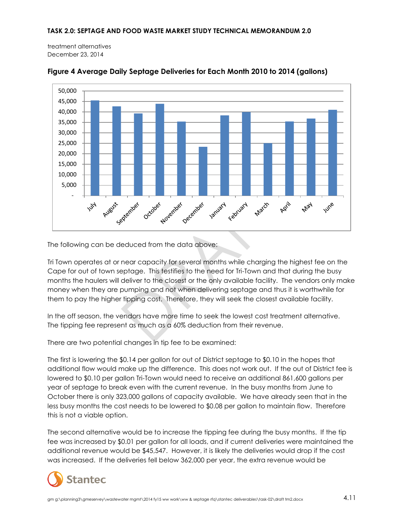treatment alternatives December 23, 2014



#### **Figure 4 Average Daily Septage Deliveries for Each Month 2010 to 2014 (gallons)**

The following can be deduced from the data above:

Tri Town operates at or near capacity for several months while charging the highest fee on the Cape for out of town septage. This testifies to the need for Tri-Town and that during the busy months the haulers will deliver to the closest or the only available facility. The vendors only make money when they are pumping and not when delivering septage and thus it is worthwhile for them to pay the higher tipping cost. Therefore, they will seek the closest available facility.

In the off season, the vendors have more time to seek the lowest cost treatment alternative. The tipping fee represent as much as a 60% deduction from their revenue.

There are two potential changes in tip fee to be examined:

The first is lowering the \$0.14 per gallon for out of District septage to \$0.10 in the hopes that additional flow would make up the difference. This does not work out. If the out of District fee is lowered to \$0.10 per gallon Tri-Town would need to receive an additional 861,600 gallons per year of septage to break even with the current revenue. In the busy months from June to October there is only 323,000 gallons of capacity available. We have already seen that in the less busy months the cost needs to be lowered to \$0.08 per gallon to maintain flow. Therefore this is not a viable option.

The second alternative would be to increase the tipping fee during the busy months. If the tip fee was increased by \$0.01 per gallon for all loads, and if current deliveries were maintained the additional revenue would be \$45,547. However, it is likely the deliveries would drop if the cost was increased. If the deliveries fell below 362,000 per year, the extra revenue would be

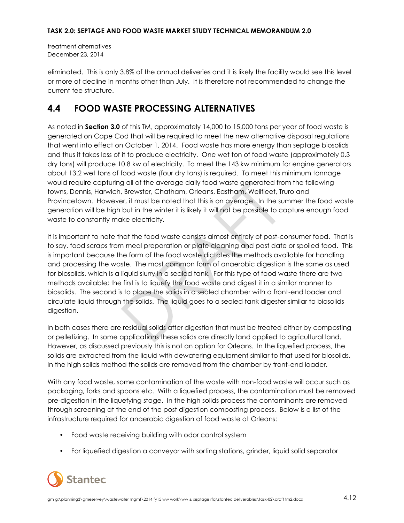treatment alternatives December 23, 2014

eliminated. This is only 3.8% of the annual deliveries and it is likely the facility would see this level or more of decline in months other than July. It is therefore not recommended to change the current fee structure.

### <span id="page-26-0"></span>**4.4 FOOD WASTE PROCESSING ALTERNATIVES**

As noted in **Section 3.0** of this TM, approximately 14,000 to 15,000 tons per year of food waste is generated on Cape Cod that will be required to meet the new alternative disposal regulations that went into effect on October 1, 2014. Food waste has more energy than septage biosolids and thus it takes less of it to produce electricity. One wet ton of food waste (approximately 0.3 dry tons) will produce 10.8 kw of electricity. To meet the 143 kw minimum for engine generators about 13.2 wet tons of food waste (four dry tons) is required. To meet this minimum tonnage would require capturing all of the average daily food waste generated from the following towns, Dennis, Harwich, Brewster, Chatham, Orleans, Eastham, Wellfleet, Truro and Provincetown. However, it must be noted that this is on average. In the summer the food waste generation will be high but in the winter it is likely it will not be possible to capture enough food waste to constantly make electricity.

It is important to note that the food waste consists almost entirely of post-consumer food. That is to say, food scraps from meal preparation or plate cleaning and past date or spoiled food. This is important because the form of the food waste dictates the methods available for handling and processing the waste. The most common form of anaerobic digestion is the same as used for biosolids, which is a liquid slurry in a sealed tank. For this type of food waste there are two methods available; the first is to liquefy the food waste and digest it in a similar manner to biosolids. The second is to place the solids in a sealed chamber with a front-end loader and circulate liquid through the solids. The liquid goes to a sealed tank digester similar to biosolids digestion.

In both cases there are residual solids after digestion that must be treated either by composting or pelletizing. In some applications these solids are directly land applied to agricultural land. However, as discussed previously this is not an option for Orleans. In the liquefied process, the solids are extracted from the liquid with dewatering equipment similar to that used for biosolids. In the high solids method the solids are removed from the chamber by front-end loader.

With any food waste, some contamination of the waste with non-food waste will occur such as packaging, forks and spoons etc. With a liquefied process, the contamination must be removed pre-digestion in the liquefying stage. In the high solids process the contaminants are removed through screening at the end of the post digestion composting process. Below is a list of the infrastructure required for anaerobic digestion of food waste at Orleans:

- Food waste receiving building with odor control system
- For liquefied digestion a conveyor with sorting stations, grinder, liquid solid separator

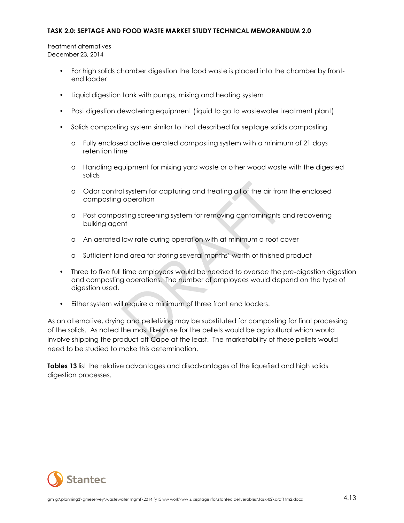treatment alternatives December 23, 2014

- For high solids chamber digestion the food waste is placed into the chamber by frontend loader
- Liquid digestion tank with pumps, mixing and heating system
- Post digestion dewatering equipment (liquid to go to wastewater treatment plant)
- Solids composting system similar to that described for septage solids composting
	- o Fully enclosed active aerated composting system with a minimum of 21 days retention time
	- o Handling equipment for mixing yard waste or other wood waste with the digested solids
	- o Odor control system for capturing and treating all of the air from the enclosed composting operation
	- o Post composting screening system for removing contaminants and recovering bulking agent
	- o An aerated low rate curing operation with at minimum a roof cover
	- o Sufficient land area for storing several months' worth of finished product
- Three to five full time employees would be needed to oversee the pre-digestion digestion and composting operations. The number of employees would depend on the type of digestion used.
- Either system will require a minimum of three front end loaders.

As an alternative, drying and pelletizing may be substituted for composting for final processing of the solids. As noted the most likely use for the pellets would be agricultural which would involve shipping the product off Cape at the least. The marketability of these pellets would need to be studied to make this determination.

**Tables 13** list the relative advantages and disadvantages of the liquefied and high solids digestion processes.

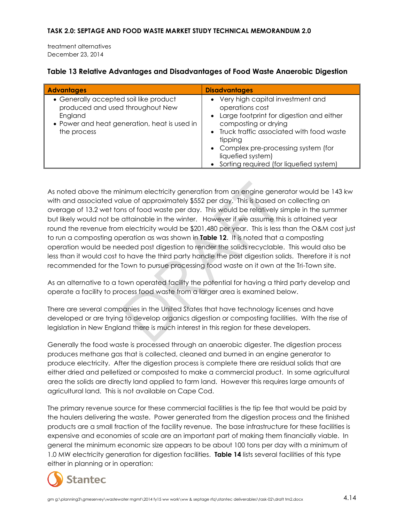treatment alternatives December 23, 2014

| <b>Advantages</b>                                                                                                                                    | <b>Disadvantages</b>                                                                                                                                                                                                                                                                           |
|------------------------------------------------------------------------------------------------------------------------------------------------------|------------------------------------------------------------------------------------------------------------------------------------------------------------------------------------------------------------------------------------------------------------------------------------------------|
| • Generally accepted soil like product<br>produced and used throughout New<br>England<br>• Power and heat generation, heat is used in<br>the process | • Very high capital investment and<br>operations cost<br>• Large footprint for digestion and either<br>composting or drying<br>• Truck traffic associated with food waste<br>tipping<br>• Complex pre-processing system (for<br>liquefied system)<br>• Sorting required (for liquefied system) |

### **Table 13 Relative Advantages and Disadvantages of Food Waste Anaerobic Digestion**

As noted above the minimum electricity generation from an engine generator would be 143 kw with and associated value of approximately \$552 per day. This is based on collecting an average of 13.2 wet tons of food waste per day. This would be relatively simple in the summer but likely would not be attainable in the winter. However if we assume this is attained year round the revenue from electricity would be \$201,480 per year. This is less than the O&M cost just to run a composting operation as was shown in **Table 12**. It is noted that a composting operation would be needed post digestion to render the solids recyclable. This would also be less than it would cost to have the third party handle the post digestion solids. Therefore it is not recommended for the Town to pursue processing food waste on it own at the Tri-Town site.

As an alternative to a town operated facility the potential for having a third party develop and operate a facility to process food waste from a larger area is examined below.

There are several companies in the United States that have technology licenses and have developed or are trying to develop organics digestion or composting facilities. With the rise of legislation in New England there is much interest in this region for these developers.

Generally the food waste is processed through an anaerobic digester. The digestion process produces methane gas that is collected, cleaned and burned in an engine generator to produce electricity. After the digestion process is complete there are residual solids that are either dried and pelletized or composted to make a commercial product. In some agricultural area the solids are directly land applied to farm land. However this requires large amounts of agricultural land. This is not available on Cape Cod.

The primary revenue source for these commercial facilities is the tip fee that would be paid by the haulers delivering the waste. Power generated from the digestion process and the finished products are a small fraction of the facility revenue. The base infrastructure for these facilities is expensive and economies of scale are an important part of making them financially viable. In general the minimum economic size appears to be about 100 tons per day with a minimum of 1.0 MW electricity generation for digestion facilities. **Table 14** lists several facilities of this type either in planning or in operation:

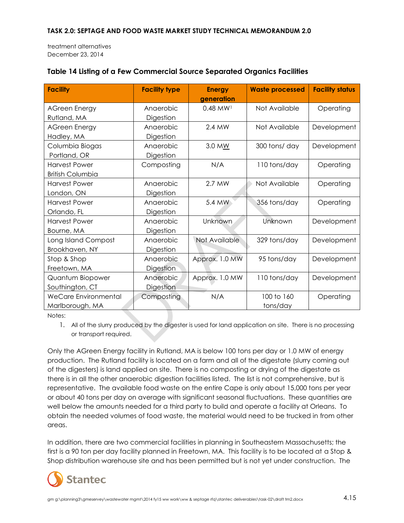treatment alternatives December 23, 2014

| <b>Facility</b>             | <b>Facility type</b> | <b>Energy</b><br>generation | <b>Waste processed</b> | <b>Facility status</b> |
|-----------------------------|----------------------|-----------------------------|------------------------|------------------------|
| <b>AGreen Energy</b>        | Anaerobic            | $0.48$ MW <sup>1</sup>      | Not Available          | Operating              |
| Rutland, MA                 | Digestion            |                             |                        |                        |
| <b>AGreen Energy</b>        | Anaerobic            | 2.4 MW                      | Not Available          | Development            |
| Hadley, MA                  | Digestion            |                             |                        |                        |
| Columbia Biogas             | Anaerobic            | 3.0 MW                      | 300 tons/day           | Development            |
| Portland, OR                | Digestion            |                             |                        |                        |
| <b>Harvest Power</b>        | Composting           | N/A                         | 110 tons/day           | Operating              |
| <b>British Columbia</b>     |                      |                             |                        |                        |
| <b>Harvest Power</b>        | Anaerobic            | 2.7 MW                      | Not Available          | Operating              |
| London, ON                  | Digestion            |                             |                        |                        |
| <b>Harvest Power</b>        | Anaerobic            | 5.4 MW                      | 356 tons/day           | Operating              |
| Orlando, FL                 | Digestion            |                             |                        |                        |
| <b>Harvest Power</b>        | Anaerobic            | Unknown                     | Unknown                | Development            |
| Bourne, MA                  | Digestion            |                             |                        |                        |
| Long Island Compost         | Anaerobic            | Not Available               | 329 tons/day           | Development            |
| Brookhaven, NY              | Digestion            |                             |                        |                        |
| Stop & Shop                 | Anaerobic            | Approx. 1.0 MW              | 95 tons/day            | Development            |
| Freetown, MA                | Digestion            |                             |                        |                        |
| Quantum Biopower            | Anaerobic            | Approx. 1.0 MW              | 110 tons/day           | Development            |
| Southington, CT             | Digestion            |                             |                        |                        |
| <b>WeCare Environmental</b> | Composting           | N/A                         | 100 to 160             | Operating              |
| Marlborough, MA             |                      |                             | tons/day               |                        |

### **Table 14 Listing of a Few Commercial Source Separated Organics Facilities**

Notes:

1. All of the slurry produced by the digester is used for land application on site. There is no processing or transport required.

Only the AGreen Energy facility in Rutland, MA is below 100 tons per day or 1.0 MW of energy production. The Rutland facility is located on a farm and all of the digestate (slurry coming out of the digesters) is land applied on site. There is no composting or drying of the digestate as there is in all the other anaerobic digestion facilities listed. The list is not comprehensive, but is representative. The available food waste on the entire Cape is only about 15,000 tons per year or about 40 tons per day on average with significant seasonal fluctuations. These quantities are well below the amounts needed for a third party to build and operate a facility at Orleans. To obtain the needed volumes of food waste, the material would need to be trucked in from other areas.

In addition, there are two commercial facilities in planning in Southeastern Massachusetts; the first is a 90 ton per day facility planned in Freetown, MA. This facility is to be located at a Stop & Shop distribution warehouse site and has been permitted but is not yet under construction. The

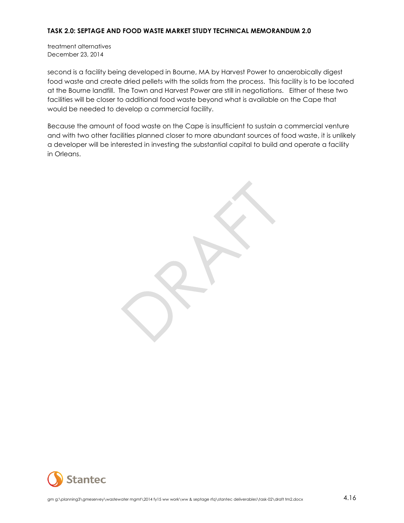treatment alternatives December 23, 2014

second is a facility being developed in Bourne, MA by Harvest Power to anaerobically digest food waste and create dried pellets with the solids from the process. This facility is to be located at the Bourne landfill. The Town and Harvest Power are still in negotiations. Either of these two facilities will be closer to additional food waste beyond what is available on the Cape that would be needed to develop a commercial facility.

Because the amount of food waste on the Cape is insufficient to sustain a commercial venture and with two other facilities planned closer to more abundant sources of food waste, it is unlikely a developer will be interested in investing the substantial capital to build and operate a facility in Orleans.

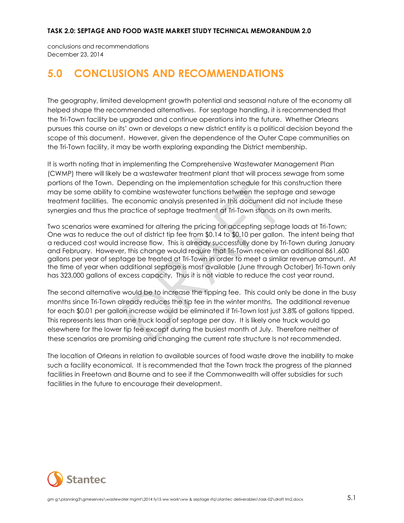conclusions and recommendations December 23, 2014

## <span id="page-31-0"></span>**5.0 CONCLUSIONS AND RECOMMENDATIONS**

The geography, limited development growth potential and seasonal nature of the economy all helped shape the recommended alternatives. For septage handling, it is recommended that the Tri-Town facility be upgraded and continue operations into the future. Whether Orleans pursues this course on its' own or develops a new district entity is a political decision beyond the scope of this document. However, given the dependence of the Outer Cape communities on the Tri-Town facility, it may be worth exploring expanding the District membership.

It is worth noting that in implementing the Comprehensive Wastewater Management Plan (CWMP) there will likely be a wastewater treatment plant that will process sewage from some portions of the Town. Depending on the implementation schedule for this construction there may be some ability to combine wastewater functions between the septage and sewage treatment facilities. The economic analysis presented in this document did not include these synergies and thus the practice of septage treatment at Tri-Town stands on its own merits.

Two scenarios were examined for altering the pricing for accepting septage loads at Tri-Town; One was to reduce the out of district tip fee from \$0.14 to \$0.10 per gallon. The intent being that a reduced cost would increase flow. This is already successfully done by Tri-Town during January and February. However, this change would require that Tri-Town receive an additional 861,600 gallons per year of septage be treated at Tri-Town in order to meet a similar revenue amount. At the time of year when additional septage is most available (June through October) Tri-Town only has 323,000 gallons of excess capacity. Thus it is not viable to reduce the cost year round.

The second alternative would be to increase the tipping fee. This could only be done in the busy months since Tri-Town already reduces the tip fee in the winter months. The additional revenue for each \$0.01 per gallon increase would be eliminated if Tri-Town lost just 3.8% of gallons tipped. This represents less than one truck load of septage per day. It is likely one truck would go elsewhere for the lower tip fee except during the busiest month of July. Therefore neither of these scenarios are promising and changing the current rate structure Is not recommended.

The location of Orleans in relation to available sources of food waste drove the inability to make such a facility economical. It is recommended that the Town track the progress of the planned facilities in Freetown and Bourne and to see if the Commonwealth will offer subsidies for such facilities in the future to encourage their development.

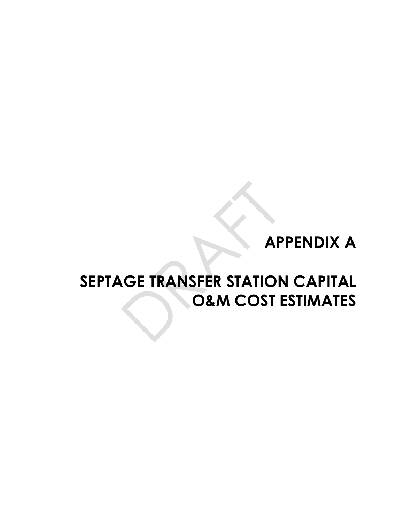# **APPENDIX A**

# **SEPTAGE TRANSFER STATION CAPITAL O&M COST ESTIMATES**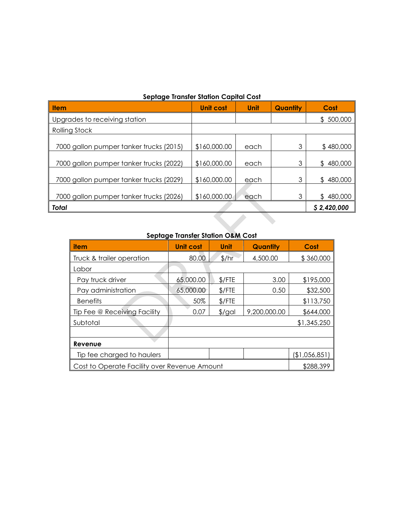### **Septage Transfer Station Capital Cost**

| sepidge framsjer sjulion Capilal Cosi   |                  |      |                 |                |  |
|-----------------------------------------|------------------|------|-----------------|----------------|--|
| <b>Item</b>                             | <b>Unit cost</b> | Unit | <b>Quantity</b> | Cost           |  |
| Upgrades to receiving station           |                  |      |                 | 500,000<br>£   |  |
| Rolling Stock                           |                  |      |                 |                |  |
| 7000 gallon pumper tanker trucks (2015) | \$160,000.00     | each | 3               | \$480,000      |  |
| 7000 gallon pumper tanker trucks (2022) | \$160,000.00     | each | 3               | 480,000<br>\$  |  |
| 7000 gallon pumper tanker trucks (2029) | \$160,000.00     | each | 3               | 480,000<br>\$  |  |
| 7000 gallon pumper tanker trucks (2026) | \$160,000.00     | each | 3               | 480,000<br>\$. |  |
| <b>Total</b>                            |                  |      |                 | \$2,420,000    |  |

### **Septage Transfer Station O&M Cost**

| item                                         | <b>Unit cost</b> | Unit     | Quantity     | Cost          |
|----------------------------------------------|------------------|----------|--------------|---------------|
| Truck & trailer operation                    | 80.00            | 1/hr     | 4,500.00     | \$360,000     |
| Labor                                        |                  |          |              |               |
| Pay truck driver                             | 65,000.00        | $$/$ FTE | 3.00         | \$195,000     |
| Pay administration                           | 65,000.00        | $$/$ FTE | 0.50         | \$32,500      |
| <b>Benefits</b>                              | 50%              | $$/$ FTE |              | \$113,750     |
| Tip Fee @ Receiving Facility                 | 0.07             | $$$ /gal | 9,200,000.00 | \$644,000     |
| Subtotal                                     |                  |          |              | \$1,345,250   |
|                                              |                  |          |              |               |
| Revenue                                      |                  |          |              |               |
| Tip fee charged to haulers                   |                  |          |              | (\$1,056,851) |
| Cost to Operate Facility over Revenue Amount |                  |          |              | \$288,399     |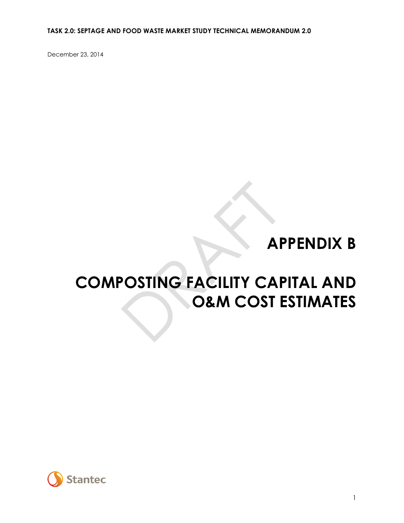December 23, 2014

# **APPENDIX B**

# **COMPOSTING FACILITY CAPITAL AND O&M COST ESTIMATES**

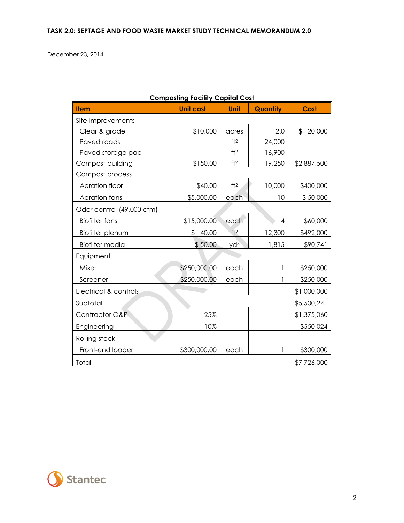December 23, 2014

| <b>Item</b>               | <b>Unit cost</b> | Unit            | Quantity | Cost         |
|---------------------------|------------------|-----------------|----------|--------------|
| Site Improvements         |                  |                 |          |              |
| Clear & grade             | \$10,000         | acres           | 2.0      | 20,000<br>\$ |
| Paved roads               |                  | ft <sup>2</sup> | 24,000   |              |
| Paved storage pad         |                  | ft <sup>2</sup> | 16,900   |              |
| Compost building          | \$150.00         | ft <sup>2</sup> | 19,250   | \$2,887,500  |
| Compost process           |                  |                 |          |              |
| Aeration floor            | \$40.00          | ft <sup>2</sup> | 10,000   | \$400,000    |
| Aeration fans             | \$5,000.00       | each            | 10       | \$50,000     |
| Odor control (49,000 cfm) |                  |                 |          |              |
| <b>Biofilter fans</b>     | \$15,000.00      | each            | 4        | \$60,000     |
| Biofilter plenum          | 40.00<br>\$      | ft <sup>2</sup> | 12,300   | \$492,000    |
| <b>Biofilter media</b>    | \$50.00          | $yd^3$          | 1,815    | \$90,741     |
| Equipment                 |                  |                 |          |              |
| Mixer                     | \$250,000.00     | each            | 1        | \$250,000    |
| Screener                  | \$250,000.00     | each            | 1        | \$250,000    |
| Electrical & controls     |                  |                 |          | \$1,000,000  |
| Subtotal                  |                  |                 |          | \$5,500,241  |
| Contractor O&P            | 25%              |                 |          | \$1,375,060  |
| Engineering               | 10%              |                 |          | \$550,024    |
| Rolling stock             |                  |                 |          |              |
| Front-end loader          | \$300,000.00     | each            | 1        | \$300,000    |
| Total                     |                  |                 |          | \$7,726,000  |

### **Composting Facility Capital Cost**